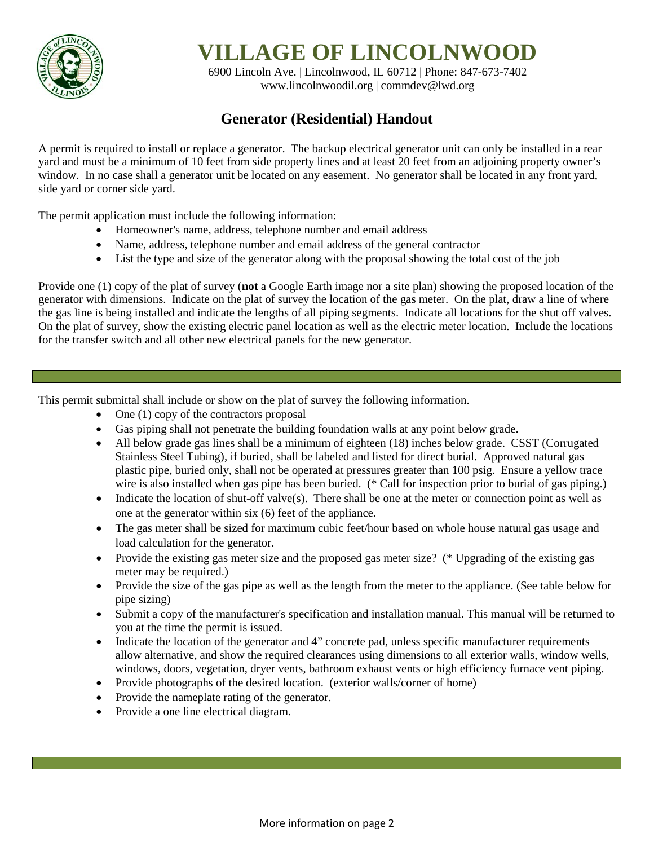

**VILLAGE OF LINCOLNWOOD**

6900 Lincoln Ave. | Lincolnwood, IL 60712 | Phone: 847-673-7402 [www.lincolnwoodil.org](http://www.lincolnwoodil.org/) | commdev@lwd.org

# **Generator (Residential) Handout**

A permit is required to install or replace a generator. The backup electrical generator unit can only be installed in a rear yard and must be a minimum of 10 feet from side property lines and at least 20 feet from an adjoining property owner's window. In no case shall a generator unit be located on any easement. No generator shall be located in any front yard, side yard or corner side yard.

The permit application must include the following information:

- Homeowner's name, address, telephone number and email address
- Name, address, telephone number and email address of the general contractor
- List the type and size of the generator along with the proposal showing the total cost of the job

Provide one (1) copy of the plat of survey (**not** a Google Earth image nor a site plan) showing the proposed location of the generator with dimensions. Indicate on the plat of survey the location of the gas meter. On the plat, draw a line of where the gas line is being installed and indicate the lengths of all piping segments. Indicate all locations for the shut off valves. On the plat of survey, show the existing electric panel location as well as the electric meter location. Include the locations for the transfer switch and all other new electrical panels for the new generator.

This permit submittal shall include or show on the plat of survey the following information.

- One (1) copy of the contractors proposal
- Gas piping shall not penetrate the building foundation walls at any point below grade.
- All below grade gas lines shall be a minimum of eighteen (18) inches below grade. CSST (Corrugated Stainless Steel Tubing), if buried, shall be labeled and listed for direct burial. Approved natural gas plastic pipe, buried only, shall not be operated at pressures greater than 100 psig. Ensure a yellow trace wire is also installed when gas pipe has been buried. (\* Call for inspection prior to burial of gas piping.)
- Indicate the location of shut-off valve(s). There shall be one at the meter or connection point as well as one at the generator within six (6) feet of the appliance.
- The gas meter shall be sized for maximum cubic feet/hour based on whole house natural gas usage and load calculation for the generator.
- Provide the existing gas meter size and the proposed gas meter size? (\* Upgrading of the existing gas meter may be required.)
- Provide the size of the gas pipe as well as the length from the meter to the appliance. (See table below for pipe sizing)
- Submit a copy of the manufacturer's specification and installation manual. This manual will be returned to you at the time the permit is issued.
- Indicate the location of the generator and 4" concrete pad, unless specific manufacturer requirements allow alternative, and show the required clearances using dimensions to all exterior walls, window wells, windows, doors, vegetation, dryer vents, bathroom exhaust vents or high efficiency furnace vent piping.
- Provide photographs of the desired location. (exterior walls/corner of home)
- Provide the nameplate rating of the generator.
- Provide a one line electrical diagram.